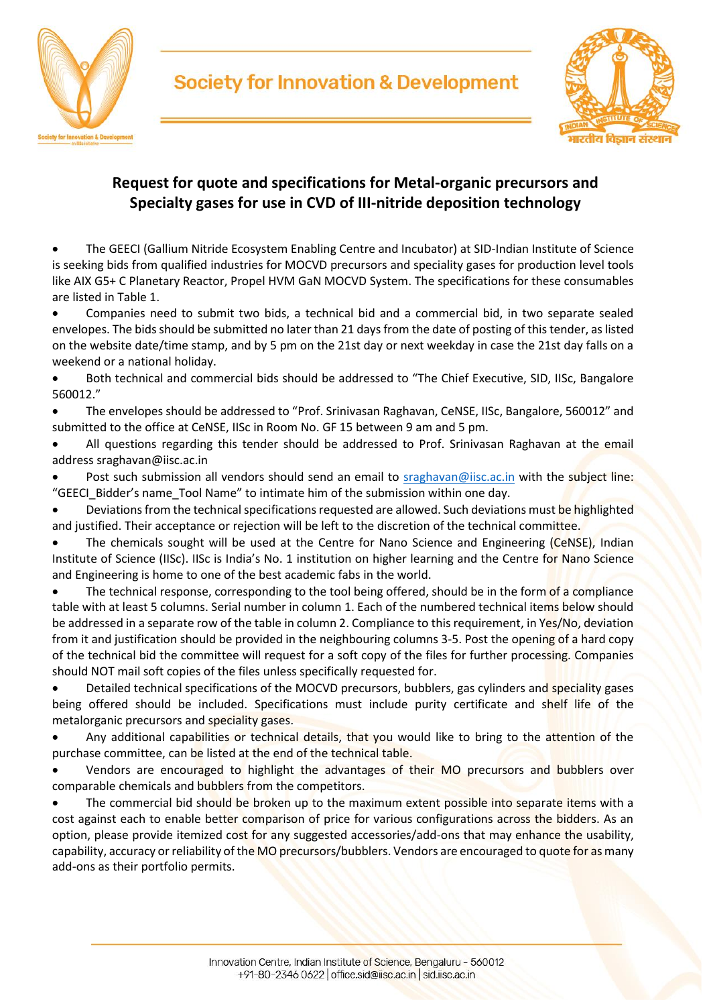

ारतीय विज्ञान संर

#### **Request for quote and specifications for Metal-organic precursors and Specialty gases for use in CVD of III-nitride deposition technology**

**Society for Innovation & Development** 

• The GEECI (Gallium Nitride Ecosystem Enabling Centre and Incubator) at SID-Indian Institute of Science is seeking bids from qualified industries for MOCVD precursors and speciality gases for production level tools like AIX G5+ C Planetary Reactor, Propel HVM GaN MOCVD System. The specifications for these consumables are listed in Table 1.

• Companies need to submit two bids, a technical bid and a commercial bid, in two separate sealed envelopes. The bids should be submitted no later than 21 days from the date of posting of this tender, as listed on the website date/time stamp, and by 5 pm on the 21st day or next weekday in case the 21st day falls on a weekend or a national holiday.

• Both technical and commercial bids should be addressed to "The Chief Executive, SID, IISc, Bangalore 560012."

• The envelopes should be addressed to "Prof. Srinivasan Raghavan, CeNSE, IISc, Bangalore, 560012" and submitted to the office at CeNSE, IISc in Room No. GF 15 between 9 am and 5 pm.

• All questions regarding this tender should be addressed to Prof. Srinivasan Raghavan at the email address sraghavan@iisc.ac.in

Post such submission all vendors should send an email to [sraghavan@iisc.ac.in](mailto:sraghavan@iisc.ac.in) with the subject line: "GEECI\_Bidder's name\_Tool Name" to intimate him of the submission within one day.

• Deviations from the technical specifications requested are allowed. Such deviations must be highlighted and justified. Their acceptance or rejection will be left to the discretion of the technical committee.

The chemicals sought will be used at the Centre for Nano Science and Engineering (CeNSE), Indian Institute of Science (IISc). IISc is India's No. 1 institution on higher learning and the Centre for Nano Science and Engineering is home to one of the best academic fabs in the world.

The technical response, corresponding to the tool being offered, should be in the form of a compliance table with at least 5 columns. Serial number in column 1. Each of the numbered technical items below should be addressed in a separate row of the table in column 2. Compliance to this requirement, in Yes/No, deviation from it and justification should be provided in the neighbouring columns 3-5. Post the opening of a hard copy of the technical bid the committee will request for a soft copy of the files for further processing. Companies should NOT mail soft copies of the files unless specifically requested for.

• Detailed technical specifications of the MOCVD precursors, bubblers, gas cylinders and speciality gases being offered should be included. Specifications must include purity certificate and shelf life of the metalorganic precursors and speciality gases.

Any additional capabilities or technical details, that you would like to bring to the attention of the purchase committee, can be listed at the end of the technical table.

• Vendors are encouraged to highlight the advantages of their MO precursors and bubblers over comparable chemicals and bubblers from the competitors.

The commercial bid should be broken up to the maximum extent possible into separate items with a cost against each to enable better comparison of price for various configurations across the bidders. As an option, please provide itemized cost for any suggested accessories/add-ons that may enhance the usability, capability, accuracy or reliability of the MO precursors/bubblers. Vendors are encouraged to quote for as many add-ons as their portfolio permits.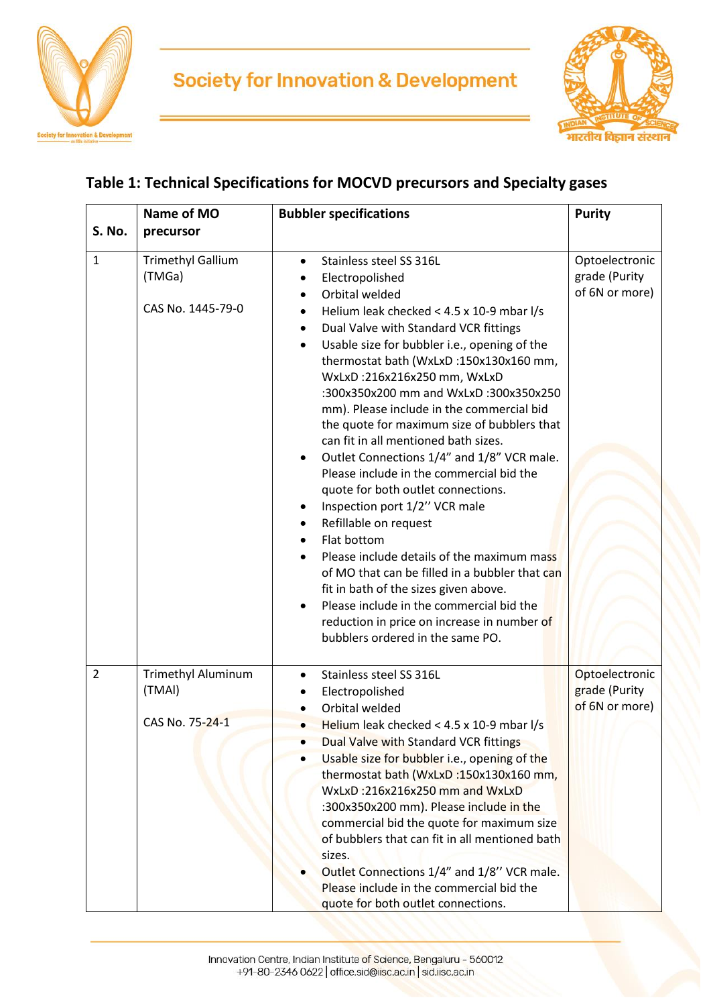



### **Table 1: Technical Specifications for MOCVD precursors and Specialty gases**

|                | Name of MO                                              | <b>Bubbler specifications</b>                                                                                                                                                                                                                                                                                                                                                                                                                                                                                                                                                                                                                                                                                                                                                                                                                                                                                                                           | <b>Purity</b>                                     |
|----------------|---------------------------------------------------------|---------------------------------------------------------------------------------------------------------------------------------------------------------------------------------------------------------------------------------------------------------------------------------------------------------------------------------------------------------------------------------------------------------------------------------------------------------------------------------------------------------------------------------------------------------------------------------------------------------------------------------------------------------------------------------------------------------------------------------------------------------------------------------------------------------------------------------------------------------------------------------------------------------------------------------------------------------|---------------------------------------------------|
| S. No.         | precursor                                               |                                                                                                                                                                                                                                                                                                                                                                                                                                                                                                                                                                                                                                                                                                                                                                                                                                                                                                                                                         |                                                   |
| $\mathbf{1}$   | <b>Trimethyl Gallium</b><br>(TMGa)<br>CAS No. 1445-79-0 | Stainless steel SS 316L<br>$\bullet$<br>Electropolished<br>Orbital welded<br>Helium leak checked < 4.5 x 10-9 mbar l/s<br>Dual Valve with Standard VCR fittings<br>Usable size for bubbler i.e., opening of the<br>thermostat bath (WxLxD:150x130x160 mm,<br>WxLxD:216x216x250 mm, WxLxD<br>:300x350x200 mm and WxLxD :300x350x250<br>mm). Please include in the commercial bid<br>the quote for maximum size of bubblers that<br>can fit in all mentioned bath sizes.<br>Outlet Connections 1/4" and 1/8" VCR male.<br>Please include in the commercial bid the<br>quote for both outlet connections.<br>Inspection port 1/2" VCR male<br>Refillable on request<br>Flat bottom<br>Please include details of the maximum mass<br>of MO that can be filled in a bubbler that can<br>fit in bath of the sizes given above.<br>Please include in the commercial bid the<br>reduction in price on increase in number of<br>bubblers ordered in the same PO. | Optoelectronic<br>grade (Purity<br>of 6N or more) |
| $\overline{2}$ | <b>Trimethyl Aluminum</b><br>(TMAI)<br>CAS No. 75-24-1  | Stainless steel SS 316L<br>Electropolished<br>Orbital welded<br>Helium leak checked < $4.5 \times 10-9$ mbar l/s<br>Dual Valve with Standard VCR fittings<br>Usable size for bubbler i.e., opening of the<br>thermostat bath (WxLxD:150x130x160 mm,<br>WxLxD:216x216x250 mm and WxLxD<br>:300x350x200 mm). Please include in the<br>commercial bid the quote for maximum size<br>of bubblers that can fit in all mentioned bath<br>sizes.<br>Outlet Connections 1/4" and 1/8" VCR male.<br>Please include in the commercial bid the<br>quote for both outlet connections.                                                                                                                                                                                                                                                                                                                                                                               | Optoelectronic<br>grade (Purity<br>of 6N or more) |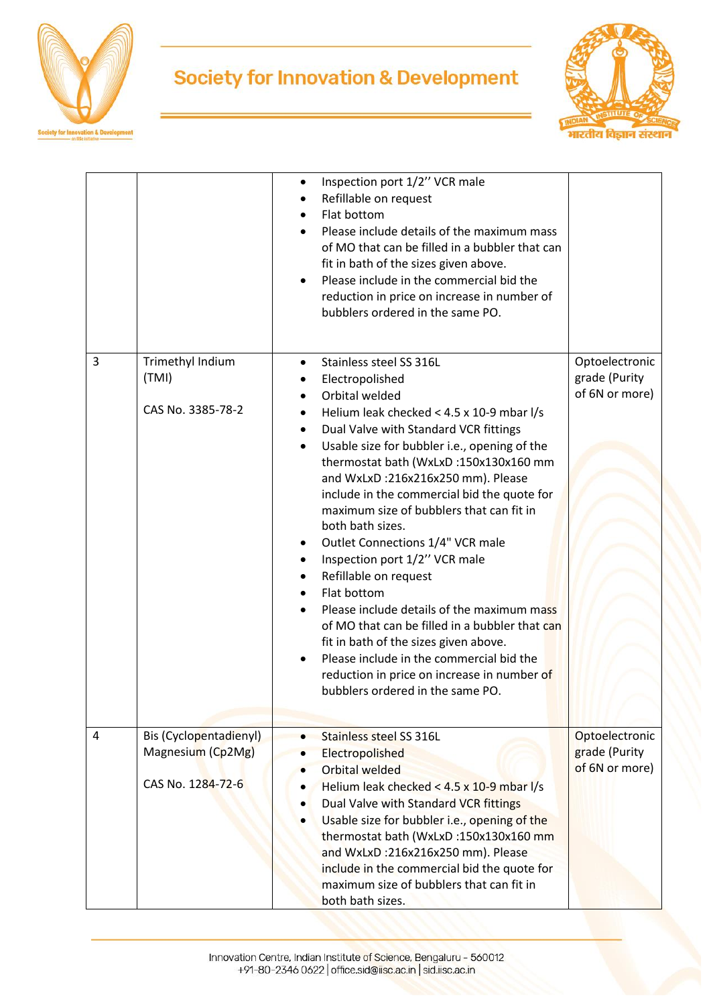

# **Society for Innovation & Development**



|                |                                                                  | Inspection port 1/2" VCR male<br>$\bullet$                                                                                                                                                                                                                                                                                                                                                                                                                                                                                                                                                                                                                                                                                                                                                                          |                                                   |
|----------------|------------------------------------------------------------------|---------------------------------------------------------------------------------------------------------------------------------------------------------------------------------------------------------------------------------------------------------------------------------------------------------------------------------------------------------------------------------------------------------------------------------------------------------------------------------------------------------------------------------------------------------------------------------------------------------------------------------------------------------------------------------------------------------------------------------------------------------------------------------------------------------------------|---------------------------------------------------|
|                |                                                                  | Refillable on request<br>Flat bottom<br>Please include details of the maximum mass<br>of MO that can be filled in a bubbler that can<br>fit in bath of the sizes given above.<br>Please include in the commercial bid the<br>reduction in price on increase in number of<br>bubblers ordered in the same PO.                                                                                                                                                                                                                                                                                                                                                                                                                                                                                                        |                                                   |
| $\overline{3}$ | Trimethyl Indium<br>(TMI)<br>CAS No. 3385-78-2                   | Stainless steel SS 316L<br>$\bullet$<br>Electropolished<br>Orbital welded<br>Helium leak checked < 4.5 x 10-9 mbar l/s<br>Dual Valve with Standard VCR fittings<br>٠<br>Usable size for bubbler i.e., opening of the<br>thermostat bath (WxLxD:150x130x160 mm<br>and WxLxD:216x216x250 mm). Please<br>include in the commercial bid the quote for<br>maximum size of bubblers that can fit in<br>both bath sizes.<br>Outlet Connections 1/4" VCR male<br>Inspection port 1/2" VCR male<br>$\bullet$<br>Refillable on request<br>Flat bottom<br>Please include details of the maximum mass<br>of MO that can be filled in a bubbler that can<br>fit in bath of the sizes given above.<br>Please include in the commercial bid the<br>reduction in price on increase in number of<br>bubblers ordered in the same PO. | Optoelectronic<br>grade (Purity<br>of 6N or more) |
| $\overline{4}$ | Bis (Cyclopentadienyl)<br>Magnesium (Cp2Mg)<br>CAS No. 1284-72-6 | Stainless steel SS 316L<br>$\bullet$<br>Electropolished<br><b>Orbital welded</b><br>Helium leak checked < 4.5 x 10-9 mbar l/s<br>Dual Valve with Standard VCR fittings<br>Usable size for bubbler i.e., opening of the<br>thermostat bath (WxLxD:150x130x160 mm<br>and WxLxD :216x216x250 mm). Please<br>include in the commercial bid the quote for<br>maximum size of bubblers that can fit in<br>both bath sizes.                                                                                                                                                                                                                                                                                                                                                                                                | Optoelectronic<br>grade (Purity<br>of 6N or more) |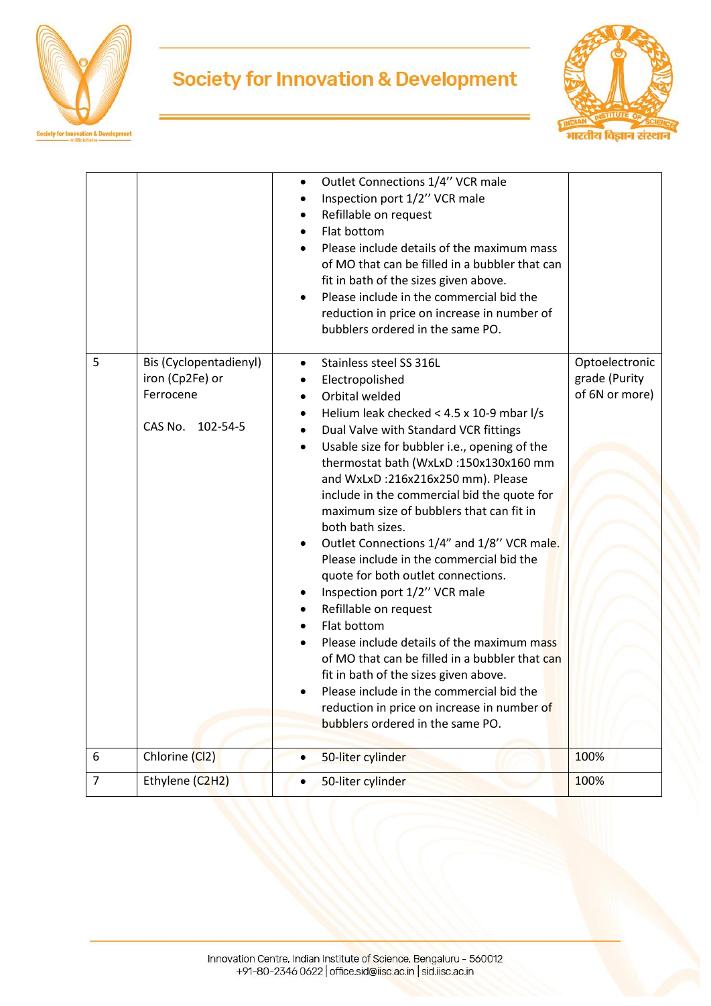

## **Society for Innovation & Development**



| $\overline{7}$ | Ethylene (C2H2)                                     | 50-liter cylinder<br>$\bullet$                                                                                                                                                                                                                                                                                                                                                                                                                                                                                                                                                                                                                                                                                                                                                                                                                                                  | 100%                            |
|----------------|-----------------------------------------------------|---------------------------------------------------------------------------------------------------------------------------------------------------------------------------------------------------------------------------------------------------------------------------------------------------------------------------------------------------------------------------------------------------------------------------------------------------------------------------------------------------------------------------------------------------------------------------------------------------------------------------------------------------------------------------------------------------------------------------------------------------------------------------------------------------------------------------------------------------------------------------------|---------------------------------|
| 6              | Chlorine (Cl2)                                      | 50-liter cylinder<br>$\bullet$                                                                                                                                                                                                                                                                                                                                                                                                                                                                                                                                                                                                                                                                                                                                                                                                                                                  | 100%                            |
|                | iron (Cp2Fe) or<br>Ferrocene<br>CAS No.<br>102-54-5 | Electropolished<br>Orbital welded<br>$\bullet$<br>Helium leak checked < 4.5 x 10-9 mbar l/s<br>Dual Valve with Standard VCR fittings<br>Usable size for bubbler i.e., opening of the<br>$\bullet$<br>thermostat bath (WxLxD:150x130x160 mm<br>and WxLxD:216x216x250 mm). Please<br>include in the commercial bid the quote for<br>maximum size of bubblers that can fit in<br>both bath sizes.<br>Outlet Connections 1/4" and 1/8" VCR male.<br>Please include in the commercial bid the<br>quote for both outlet connections.<br>Inspection port 1/2" VCR male<br>Refillable on request<br>Flat bottom<br>Please include details of the maximum mass<br>of MO that can be filled in a bubbler that can<br>fit in bath of the sizes given above.<br>Please include in the commercial bid the<br>reduction in price on increase in number of<br>bubblers ordered in the same PO. | grade (Purity<br>of 6N or more) |
| 5              | Bis (Cyclopentadienyl)                              | Outlet Connections 1/4" VCR male<br>$\bullet$<br>Inspection port 1/2" VCR male<br>Refillable on request<br>Flat bottom<br>Please include details of the maximum mass<br>of MO that can be filled in a bubbler that can<br>fit in bath of the sizes given above.<br>Please include in the commercial bid the<br>reduction in price on increase in number of<br>bubblers ordered in the same PO.<br>Stainless steel SS 316L<br>$\bullet$                                                                                                                                                                                                                                                                                                                                                                                                                                          | Optoelectronic                  |